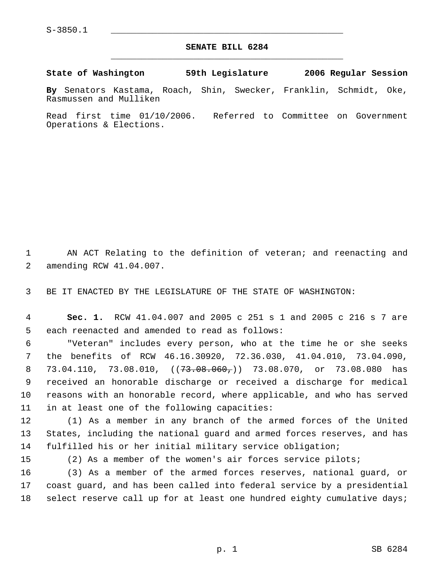## **SENATE BILL 6284** \_\_\_\_\_\_\_\_\_\_\_\_\_\_\_\_\_\_\_\_\_\_\_\_\_\_\_\_\_\_\_\_\_\_\_\_\_\_\_\_\_\_\_\_\_

**State of Washington 59th Legislature 2006 Regular Session**

**By** Senators Kastama, Roach, Shin, Swecker, Franklin, Schmidt, Oke, Rasmussen and Mulliken

Read first time 01/10/2006. Referred to Committee on Government Operations & Elections.

1 AN ACT Relating to the definition of veteran; and reenacting and 2 amending RCW 41.04.007.

3 BE IT ENACTED BY THE LEGISLATURE OF THE STATE OF WASHINGTON:

 4 **Sec. 1.** RCW 41.04.007 and 2005 c 251 s 1 and 2005 c 216 s 7 are 5 each reenacted and amended to read as follows:

 "Veteran" includes every person, who at the time he or she seeks the benefits of RCW 46.16.30920, 72.36.030, 41.04.010, 73.04.090, 8 73.04.110, 73.08.010, ((<del>73.08.060,</del>)) 73.08.070, or 73.08.080 has received an honorable discharge or received a discharge for medical reasons with an honorable record, where applicable, and who has served in at least one of the following capacities:

12 (1) As a member in any branch of the armed forces of the United 13 States, including the national guard and armed forces reserves, and has 14 fulfilled his or her initial military service obligation;

15 (2) As a member of the women's air forces service pilots;

16 (3) As a member of the armed forces reserves, national guard, or 17 coast guard, and has been called into federal service by a presidential 18 select reserve call up for at least one hundred eighty cumulative days;